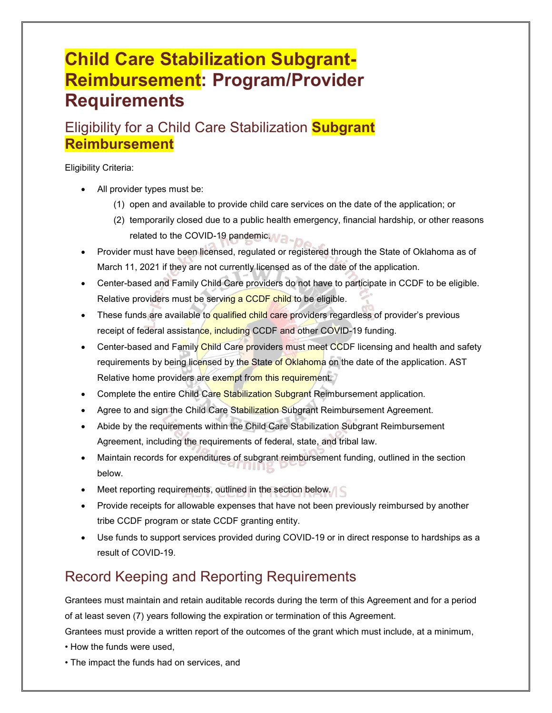# **Child Care Stabilization Subgrant-Reimbursement: Program/Provider Requirements**

## Eligibility for a Child Care Stabilization **Subgrant Reimbursement**

#### Eligibility Criteria:

- All provider types must be:
	- (1) open and available to provide child care services on the date of the application; or
	- (2) temporarily closed due to a public health emergency, financial hardship, or other reasons related to the COVID-19 pandemic.
- Provider must have been licensed, regulated or registered through the State of Oklahoma as of March 11, 2021 if they are not currently licensed as of the date of the application.
- Center-based and Family Child Care providers do not have to participate in CCDF to be eligible. Relative providers must be serving a CCDF child to be eligible.
- These funds are available to qualified child care providers regardless of provider's previous receipt of federal assistance, including CCDF and other COVID-19 funding.
- Center-based and Family Child Care providers must meet CCDF licensing and health and safety requirements by being licensed by the State of Oklahoma on the date of the application. AST Relative home providers are exempt from this requirement.
- Complete the entire Child Care Stabilization Subgrant Reimbursement application.
- Agree to and sign the Child Care Stabilization Subgrant Reimbursement Agreement.
- Abide by the requirements within the Child Care Stabilization Subgrant Reimbursement Agreement, including the requirements of federal, state, and tribal law.
- Maintain records for expenditures of subgrant reimbursement funding, outlined in the section below.
- Meet reporting requirements, outlined in the section below.
- Provide receipts for allowable expenses that have not been previously reimbursed by another tribe CCDF program or state CCDF granting entity.
- Use funds to support services provided during COVID-19 or in direct response to hardships as a result of COVID-19.

## Record Keeping and Reporting Requirements

Grantees must maintain and retain auditable records during the term of this Agreement and for a period of at least seven (7) years following the expiration or termination of this Agreement.

Grantees must provide a written report of the outcomes of the grant which must include, at a minimum,

- How the funds were used,
- The impact the funds had on services, and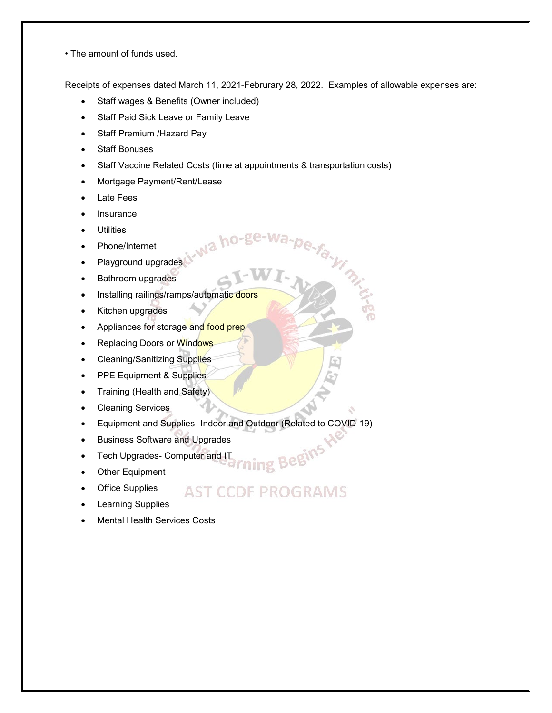• The amount of funds used.

Receipts of expenses dated March 11, 2021-Februrary 28, 2022. Examples of allowable expenses are:

a-pe-fa-yimin

- Staff wages & Benefits (Owner included)
- Staff Paid Sick Leave or Family Leave
- Staff Premium /Hazard Pay
- Staff Bonuses
- Staff Vaccine Related Costs (time at appointments & transportation costs)

Na ho-go

- Mortgage Payment/Rent/Lease
- Late Fees
- **Insurance**
- **Utilities**
- Phone/Internet
- Playground upgrades
- Bathroom upgrades
- Installing railings/ramps/automatic doors
- Kitchen upgrades
- Appliances for storage and food prep
- Replacing Doors or Windows
- Cleaning/Sanitizing Supplies
- PPE Equipment & Supplies
- Training (Health and Safety)
- Cleaning Services
- Equipment and Supplies- Indoor and Outdoor (Related to COVID-19)
- Business Software and Upgrades
- Tech Upgrades- Computer and IT
- Other Equipment
- **Office Supplies** 
	- AST CCDF PROGRAMS

ming Begins

- **Learning Supplies**
- Mental Health Services Costs